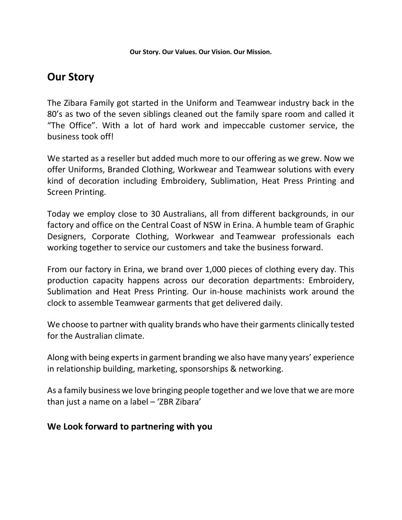### **Our Story**

The Zibara Family got started in the Uniform and Teamwear industry back in the 80's as two of the seven siblings cleaned out the family spare room and called it "The Office". With a lot of hard work and impeccable customer service, the business took off!

We started as a reseller but added much more to our offering as we grew. Now we offer Uniforms, Branded Clothing, Workwear and Teamwear solutions with every kind of decoration including Embroidery, Sublimation, Heat Press Printing and Screen Printing.

Today we employ close to 30 Australians, all from different backgrounds, in our factory and office on the Central Coast of NSW in Erina. A humble team of Graphic Designers, Corporate Clothing, Workwear and Teamwear professionals each working together to service our customers and take the business forward.

From our factory in Erina, we brand over 1,000 pieces of clothing every day. This production capacity happens across our decoration departments: Embroidery, Sublimation and Heat Press Printing. Our in-house machinists work around the clock to assemble Teamwear garments that get delivered daily.

We choose to partner with quality brands who have their garments clinically tested for the Australian climate.

Along with being experts in garment branding we also have many years' experience in relationship building, marketing, sponsorships & networking.

As a family business we love bringing people together and we love that we are more than just a name on a label – 'ZBR Zibara'

#### **We Look forward to partnering with you**